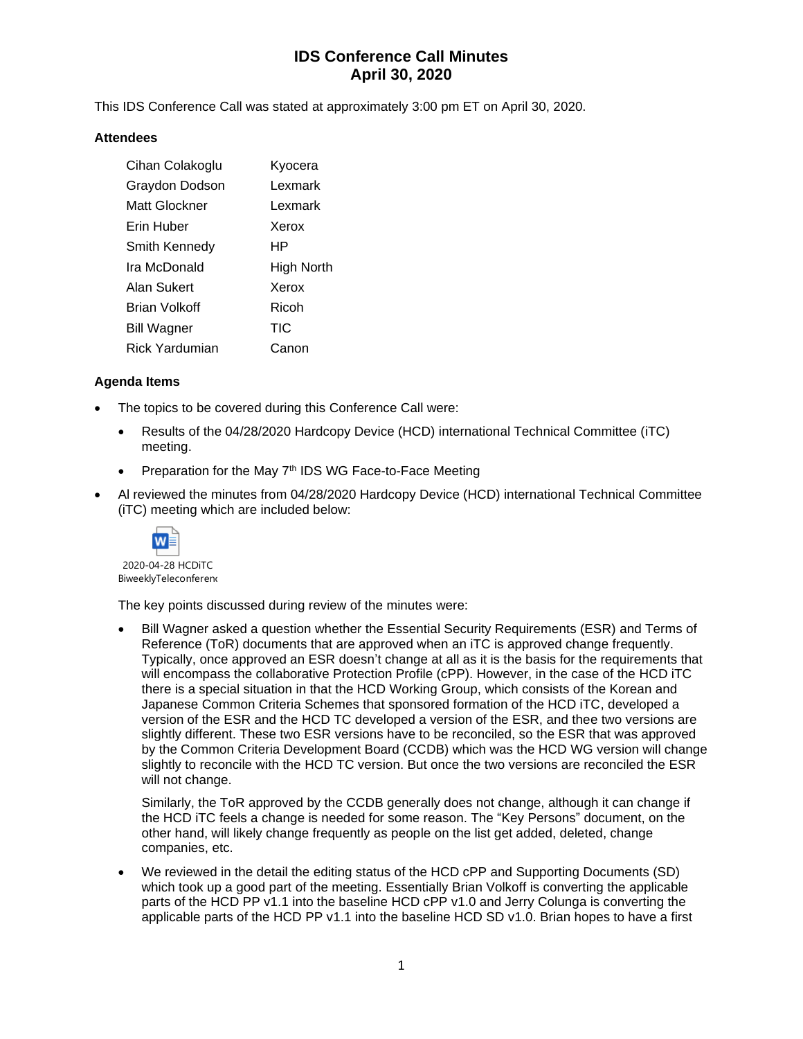# **IDS Conference Call Minutes April 30, 2020**

This IDS Conference Call was stated at approximately 3:00 pm ET on April 30, 2020.

### **Attendees**

| Cihan Colakoglu       | Kyocera    |
|-----------------------|------------|
| Graydon Dodson        | Lexmark    |
| Matt Glockner         | Lexmark    |
| Erin Huber            | Xerox      |
| Smith Kennedy         | HР         |
| Ira McDonald          | High North |
| Alan Sukert           | Xerox      |
| Brian Volkoff         | Ricoh      |
| <b>Bill Wagner</b>    | <b>TIC</b> |
| <b>Rick Yardumian</b> | Canon      |

### **Agenda Items**

- The topics to be covered during this Conference Call were:
	- Results of the 04/28/2020 Hardcopy Device (HCD) international Technical Committee (iTC) meeting.
	- Preparation for the May 7th IDS WG Face-to-Face Meeting
- Al reviewed the minutes from 04/28/2020 Hardcopy Device (HCD) international Technical Committee (iTC) meeting which are included below:



2020-04-28 HCDiTC BiweeklyTeleconferenc

The key points discussed during review of the minutes were:

• Bill Wagner asked a question whether the Essential Security Requirements (ESR) and Terms of Reference (ToR) documents that are approved when an iTC is approved change frequently. Typically, once approved an ESR doesn't change at all as it is the basis for the requirements that will encompass the collaborative Protection Profile (cPP). However, in the case of the HCD iTC there is a special situation in that the HCD Working Group, which consists of the Korean and Japanese Common Criteria Schemes that sponsored formation of the HCD iTC, developed a version of the ESR and the HCD TC developed a version of the ESR, and thee two versions are slightly different. These two ESR versions have to be reconciled, so the ESR that was approved by the Common Criteria Development Board (CCDB) which was the HCD WG version will change slightly to reconcile with the HCD TC version. But once the two versions are reconciled the ESR will not change.

Similarly, the ToR approved by the CCDB generally does not change, although it can change if the HCD iTC feels a change is needed for some reason. The "Key Persons" document, on the other hand, will likely change frequently as people on the list get added, deleted, change companies, etc.

• We reviewed in the detail the editing status of the HCD cPP and Supporting Documents (SD) which took up a good part of the meeting. Essentially Brian Volkoff is converting the applicable parts of the HCD PP v1.1 into the baseline HCD cPP v1.0 and Jerry Colunga is converting the applicable parts of the HCD PP v1.1 into the baseline HCD SD v1.0. Brian hopes to have a first